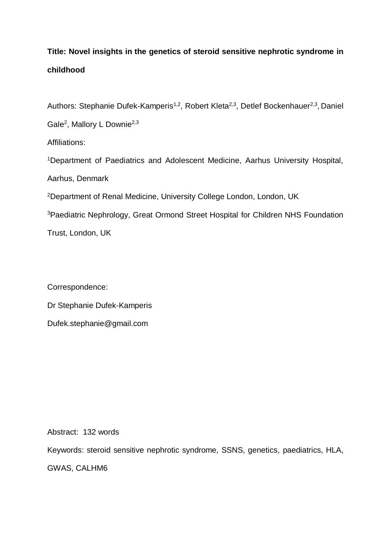# **Title: Novel insights in the genetics of steroid sensitive nephrotic syndrome in childhood**

Authors: Stephanie Dufek-Kamperis<sup>1,2</sup>, Robert Kleta<sup>2,3</sup>, Detlef Bockenhauer<sup>2,3</sup>, Daniel Gale<sup>2</sup>, Mallory L Downie<sup>2,3</sup> Affiliations: <sup>1</sup>Department of Paediatrics and Adolescent Medicine, Aarhus University Hospital, Aarhus, Denmark

<sup>2</sup>Department of Renal Medicine, University College London, London, UK

<sup>3</sup>Paediatric Nephrology, Great Ormond Street Hospital for Children NHS Foundation Trust, London, UK

Correspondence: Dr Stephanie Dufek-Kamperis Dufek.stephanie@gmail.com

Abstract: 132 words

Keywords: steroid sensitive nephrotic syndrome, SSNS, genetics, paediatrics, HLA,

GWAS, CALHM6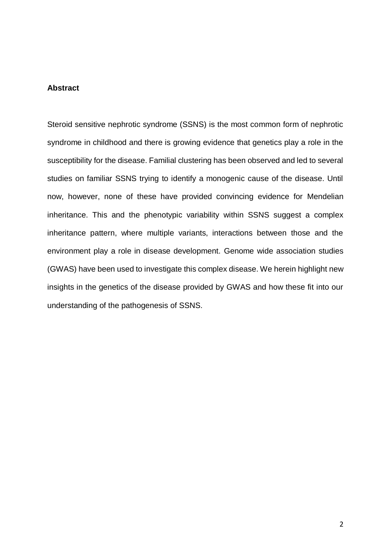# **Abstract**

Steroid sensitive nephrotic syndrome (SSNS) is the most common form of nephrotic syndrome in childhood and there is growing evidence that genetics play a role in the susceptibility for the disease. Familial clustering has been observed and led to several studies on familiar SSNS trying to identify a monogenic cause of the disease. Until now, however, none of these have provided convincing evidence for Mendelian inheritance. This and the phenotypic variability within SSNS suggest a complex inheritance pattern, where multiple variants, interactions between those and the environment play a role in disease development. Genome wide association studies (GWAS) have been used to investigate this complex disease. We herein highlight new insights in the genetics of the disease provided by GWAS and how these fit into our understanding of the pathogenesis of SSNS.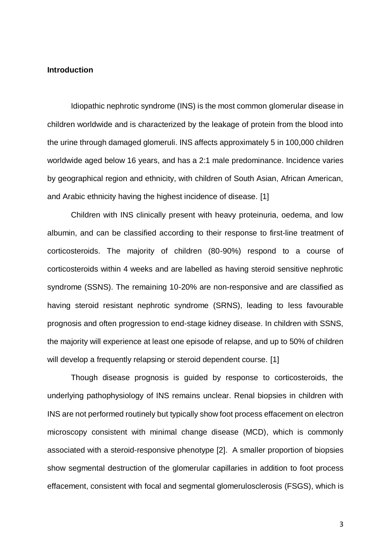### **Introduction**

Idiopathic nephrotic syndrome (INS) is the most common glomerular disease in children worldwide and is characterized by the leakage of protein from the blood into the urine through damaged glomeruli. INS affects approximately 5 in 100,000 children worldwide aged below 16 years, and has a 2:1 male predominance. Incidence varies by geographical region and ethnicity, with children of South Asian, African American, and Arabic ethnicity having the highest incidence of disease. [1]

Children with INS clinically present with heavy proteinuria, oedema, and low albumin, and can be classified according to their response to first-line treatment of corticosteroids. The majority of children (80-90%) respond to a course of corticosteroids within 4 weeks and are labelled as having steroid sensitive nephrotic syndrome (SSNS). The remaining 10-20% are non-responsive and are classified as having steroid resistant nephrotic syndrome (SRNS), leading to less favourable prognosis and often progression to end-stage kidney disease. In children with SSNS, the majority will experience at least one episode of relapse, and up to 50% of children will develop a frequently relapsing or steroid dependent course. [1]

Though disease prognosis is guided by response to corticosteroids, the underlying pathophysiology of INS remains unclear. Renal biopsies in children with INS are not performed routinely but typically show foot process effacement on electron microscopy consistent with minimal change disease (MCD), which is commonly associated with a steroid-responsive phenotype [2]. A smaller proportion of biopsies show segmental destruction of the glomerular capillaries in addition to foot process effacement, consistent with focal and segmental glomerulosclerosis (FSGS), which is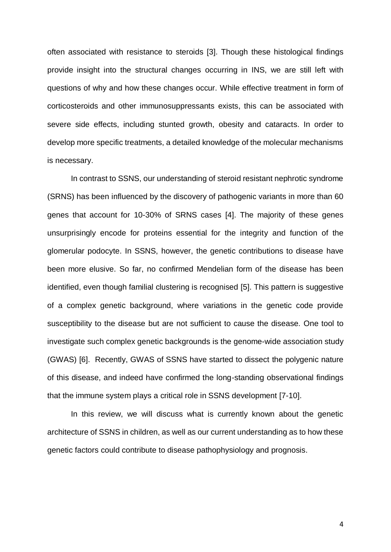often associated with resistance to steroids [3]. Though these histological findings provide insight into the structural changes occurring in INS, we are still left with questions of why and how these changes occur. While effective treatment in form of corticosteroids and other immunosuppressants exists, this can be associated with severe side effects, including stunted growth, obesity and cataracts. In order to develop more specific treatments, a detailed knowledge of the molecular mechanisms is necessary.

In contrast to SSNS, our understanding of steroid resistant nephrotic syndrome (SRNS) has been influenced by the discovery of pathogenic variants in more than 60 genes that account for 10-30% of SRNS cases [4]. The majority of these genes unsurprisingly encode for proteins essential for the integrity and function of the glomerular podocyte. In SSNS, however, the genetic contributions to disease have been more elusive. So far, no confirmed Mendelian form of the disease has been identified, even though familial clustering is recognised [5]. This pattern is suggestive of a complex genetic background, where variations in the genetic code provide susceptibility to the disease but are not sufficient to cause the disease. One tool to investigate such complex genetic backgrounds is the genome-wide association study (GWAS) [6]. Recently, GWAS of SSNS have started to dissect the polygenic nature of this disease, and indeed have confirmed the long-standing observational findings that the immune system plays a critical role in SSNS development [7-10].

In this review, we will discuss what is currently known about the genetic architecture of SSNS in children, as well as our current understanding as to how these genetic factors could contribute to disease pathophysiology and prognosis.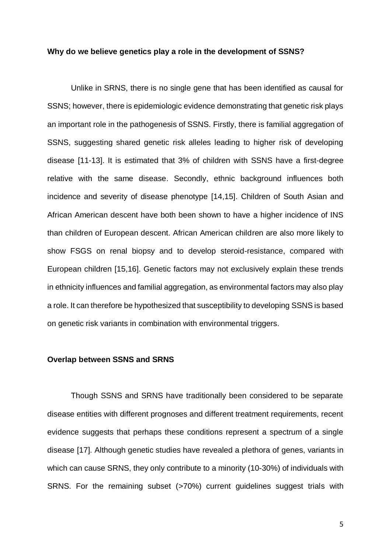#### **Why do we believe genetics play a role in the development of SSNS?**

Unlike in SRNS, there is no single gene that has been identified as causal for SSNS; however, there is epidemiologic evidence demonstrating that genetic risk plays an important role in the pathogenesis of SSNS. Firstly, there is familial aggregation of SSNS, suggesting shared genetic risk alleles leading to higher risk of developing disease [11-13]. It is estimated that 3% of children with SSNS have a first-degree relative with the same disease. Secondly, ethnic background influences both incidence and severity of disease phenotype [14,15]. Children of South Asian and African American descent have both been shown to have a higher incidence of INS than children of European descent. African American children are also more likely to show FSGS on renal biopsy and to develop steroid-resistance, compared with European children [15,16]. Genetic factors may not exclusively explain these trends in ethnicity influences and familial aggregation, as environmental factors may also play a role. It can therefore be hypothesized that susceptibility to developing SSNS is based on genetic risk variants in combination with environmental triggers.

#### **Overlap between SSNS and SRNS**

Though SSNS and SRNS have traditionally been considered to be separate disease entities with different prognoses and different treatment requirements, recent evidence suggests that perhaps these conditions represent a spectrum of a single disease [17]. Although genetic studies have revealed a plethora of genes, variants in which can cause SRNS, they only contribute to a minority (10-30%) of individuals with SRNS. For the remaining subset (>70%) current guidelines suggest trials with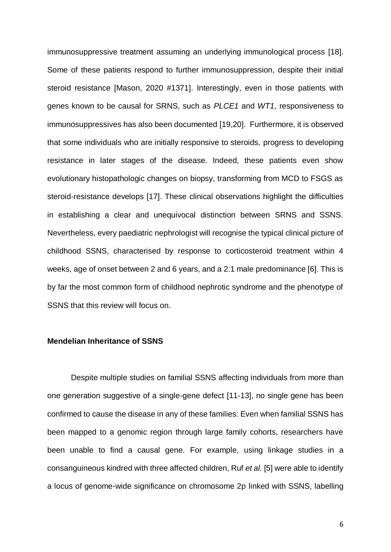immunosuppressive treatment assuming an underlying immunological process [18]. Some of these patients respond to further immunosuppression, despite their initial steroid resistance [Mason, 2020 #1371]. Interestingly, even in those patients with genes known to be causal for SRNS, such as *PLCE1* and *WT1*, responsiveness to immunosuppressives has also been documented [19,20]. Furthermore, it is observed that some individuals who are initially responsive to steroids, progress to developing resistance in later stages of the disease. Indeed, these patients even show evolutionary histopathologic changes on biopsy, transforming from MCD to FSGS as steroid-resistance develops [17]. These clinical observations highlight the difficulties in establishing a clear and unequivocal distinction between SRNS and SSNS. Nevertheless, every paediatric nephrologist will recognise the typical clinical picture of childhood SSNS, characterised by response to corticosteroid treatment within 4 weeks, age of onset between 2 and 6 years, and a 2:1 male predominance [6]. This is by far the most common form of childhood nephrotic syndrome and the phenotype of SSNS that this review will focus on.

# **Mendelian Inheritance of SSNS**

Despite multiple studies on familial SSNS affecting individuals from more than one generation suggestive of a single-gene defect [11-13], no single gene has been confirmed to cause the disease in any of these families: Even when familial SSNS has been mapped to a genomic region through large family cohorts, researchers have been unable to find a causal gene. For example, using linkage studies in a consanguineous kindred with three affected children, Ruf *et al.* [5] were able to identify a locus of genome-wide significance on chromosome 2p linked with SSNS, labelling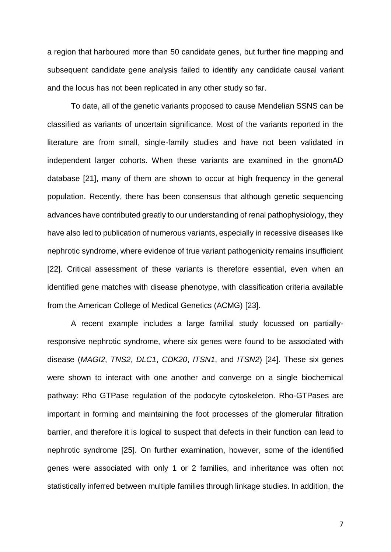a region that harboured more than 50 candidate genes, but further fine mapping and subsequent candidate gene analysis failed to identify any candidate causal variant and the locus has not been replicated in any other study so far.

To date, all of the genetic variants proposed to cause Mendelian SSNS can be classified as variants of uncertain significance. Most of the variants reported in the literature are from small, single-family studies and have not been validated in independent larger cohorts. When these variants are examined in the gnomAD database [21], many of them are shown to occur at high frequency in the general population. Recently, there has been consensus that although genetic sequencing advances have contributed greatly to our understanding of renal pathophysiology, they have also led to publication of numerous variants, especially in recessive diseases like nephrotic syndrome, where evidence of true variant pathogenicity remains insufficient [22]. Critical assessment of these variants is therefore essential, even when an identified gene matches with disease phenotype, with classification criteria available from the American College of Medical Genetics (ACMG) [23].

A recent example includes a large familial study focussed on partiallyresponsive nephrotic syndrome, where six genes were found to be associated with disease (*MAGI2*, *TNS2*, *DLC1*, *CDK20*, *ITSN1*, and *ITSN2*) [24]. These six genes were shown to interact with one another and converge on a single biochemical pathway: Rho GTPase regulation of the podocyte cytoskeleton. Rho-GTPases are important in forming and maintaining the foot processes of the glomerular filtration barrier, and therefore it is logical to suspect that defects in their function can lead to nephrotic syndrome [25]. On further examination, however, some of the identified genes were associated with only 1 or 2 families, and inheritance was often not statistically inferred between multiple families through linkage studies. In addition, the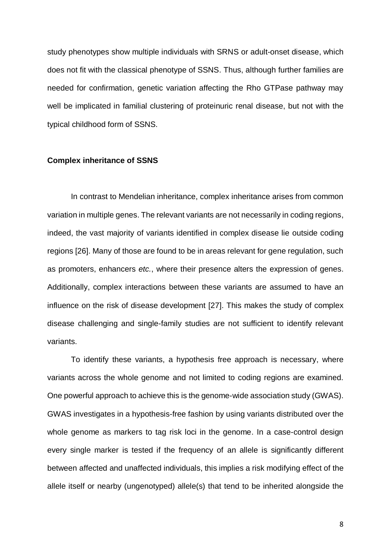study phenotypes show multiple individuals with SRNS or adult-onset disease, which does not fit with the classical phenotype of SSNS. Thus, although further families are needed for confirmation, genetic variation affecting the Rho GTPase pathway may well be implicated in familial clustering of proteinuric renal disease, but not with the typical childhood form of SSNS.

#### **Complex inheritance of SSNS**

In contrast to Mendelian inheritance, complex inheritance arises from common variation in multiple genes. The relevant variants are not necessarily in coding regions, indeed, the vast majority of variants identified in complex disease lie outside coding regions [26]. Many of those are found to be in areas relevant for gene regulation, such as promoters, enhancers *etc.*, where their presence alters the expression of genes. Additionally, complex interactions between these variants are assumed to have an influence on the risk of disease development [27]. This makes the study of complex disease challenging and single-family studies are not sufficient to identify relevant variants.

To identify these variants, a hypothesis free approach is necessary, where variants across the whole genome and not limited to coding regions are examined. One powerful approach to achieve this is the genome-wide association study (GWAS). GWAS investigates in a hypothesis-free fashion by using variants distributed over the whole genome as markers to tag risk loci in the genome. In a case-control design every single marker is tested if the frequency of an allele is significantly different between affected and unaffected individuals, this implies a risk modifying effect of the allele itself or nearby (ungenotyped) allele(s) that tend to be inherited alongside the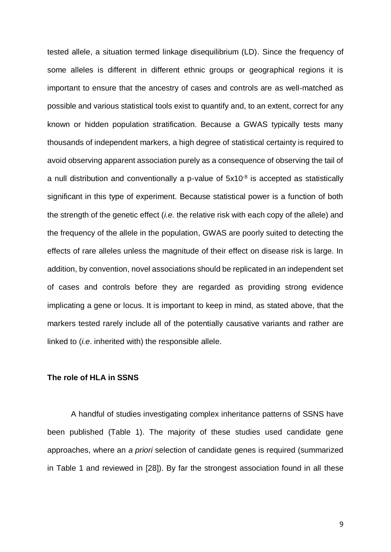tested allele, a situation termed linkage disequilibrium (LD). Since the frequency of some alleles is different in different ethnic groups or geographical regions it is important to ensure that the ancestry of cases and controls are as well-matched as possible and various statistical tools exist to quantify and, to an extent, correct for any known or hidden population stratification. Because a GWAS typically tests many thousands of independent markers, a high degree of statistical certainty is required to avoid observing apparent association purely as a consequence of observing the tail of a null distribution and conventionally a p-value of  $5x10^{-8}$  is accepted as statistically significant in this type of experiment. Because statistical power is a function of both the strength of the genetic effect (*i.e.* the relative risk with each copy of the allele) and the frequency of the allele in the population, GWAS are poorly suited to detecting the effects of rare alleles unless the magnitude of their effect on disease risk is large. In addition, by convention, novel associations should be replicated in an independent set of cases and controls before they are regarded as providing strong evidence implicating a gene or locus. It is important to keep in mind, as stated above, that the markers tested rarely include all of the potentially causative variants and rather are linked to (*i.e*. inherited with) the responsible allele.

# **The role of HLA in SSNS**

A handful of studies investigating complex inheritance patterns of SSNS have been published [\(Table 1](#page-27-0)). The majority of these studies used candidate gene approaches, where an *a priori* selection of candidate genes is required (summarized in Table 1 and reviewed in [28]). By far the strongest association found in all these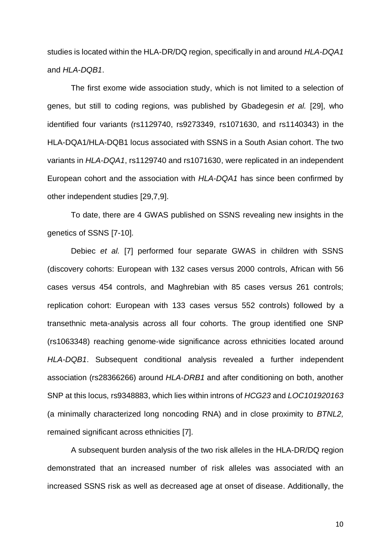studies is located within the HLA-DR/DQ region, specifically in and around *HLA-DQA1*  and *HLA-DQB1*.

The first exome wide association study, which is not limited to a selection of genes, but still to coding regions, was published by Gbadegesin *et al.* [29], who identified four variants (rs1129740, rs9273349, rs1071630, and rs1140343) in the HLA-DQA1/HLA-DQB1 locus associated with SSNS in a South Asian cohort. The two variants in *HLA-DQA1*, rs1129740 and rs1071630, were replicated in an independent European cohort and the association with *HLA-DQA1* has since been confirmed by other independent studies [29,7,9].

To date, there are 4 GWAS published on SSNS revealing new insights in the genetics of SSNS [7-10].

Debiec *et al.* [7] performed four separate GWAS in children with SSNS (discovery cohorts: European with 132 cases versus 2000 controls, African with 56 cases versus 454 controls, and Maghrebian with 85 cases versus 261 controls; replication cohort: European with 133 cases versus 552 controls) followed by a transethnic meta-analysis across all four cohorts. The group identified one SNP (rs1063348) reaching genome-wide significance across ethnicities located around *HLA-DQB1*. Subsequent conditional analysis revealed a further independent association (rs28366266) around *HLA-DRB1* and after conditioning on both, another SNP at this locus, rs9348883, which lies within introns of *HCG23* and *LOC101920163* (a minimally characterized long noncoding RNA) and in close proximity to *BTNL2,* remained significant across ethnicities [7].

A subsequent burden analysis of the two risk alleles in the HLA-DR/DQ region demonstrated that an increased number of risk alleles was associated with an increased SSNS risk as well as decreased age at onset of disease. Additionally, the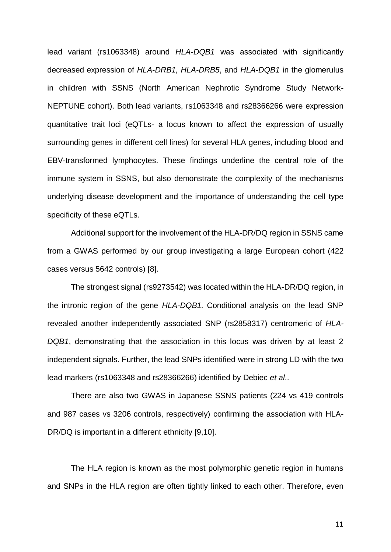lead variant (rs1063348) around *HLA-DQB1* was associated with significantly decreased expression of *HLA-DRB1, HLA-DRB5*, and *HLA-DQB1* in the glomerulus in children with SSNS (North American Nephrotic Syndrome Study Network-NEPTUNE cohort). Both lead variants, rs1063348 and rs28366266 were expression quantitative trait loci (eQTLs- a locus known to affect the expression of usually surrounding genes in different cell lines) for several HLA genes, including blood and EBV-transformed lymphocytes. These findings underline the central role of the immune system in SSNS, but also demonstrate the complexity of the mechanisms underlying disease development and the importance of understanding the cell type specificity of these eQTLs.

Additional support for the involvement of the HLA-DR/DQ region in SSNS came from a GWAS performed by our group investigating a large European cohort (422 cases versus 5642 controls) [8].

The strongest signal (rs9273542) was located within the HLA-DR/DQ region, in the intronic region of the gene *HLA-DQB1.* Conditional analysis on the lead SNP revealed another independently associated SNP (rs2858317) centromeric of *HLA-DQB1*, demonstrating that the association in this locus was driven by at least 2 independent signals. Further, the lead SNPs identified were in strong LD with the two lead markers (rs1063348 and rs28366266) identified by Debiec *et al*..

There are also two GWAS in Japanese SSNS patients (224 vs 419 controls and 987 cases vs 3206 controls, respectively) confirming the association with HLA-DR/DQ is important in a different ethnicity [9,10].

The HLA region is known as the most polymorphic genetic region in humans and SNPs in the HLA region are often tightly linked to each other. Therefore, even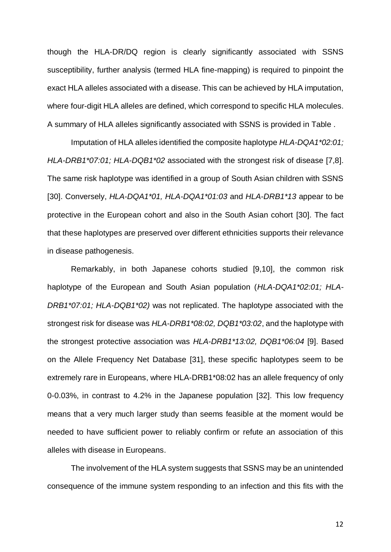though the HLA-DR/DQ region is clearly significantly associated with SSNS susceptibility, further analysis (termed HLA fine-mapping) is required to pinpoint the exact HLA alleles associated with a disease. This can be achieved by HLA imputation, where four-digit HLA alleles are defined, which correspond to specific HLA molecules. A summary of HLA alleles significantly associated with SSNS is provided in [Table .](#page-28-0)

Imputation of HLA alleles identified the composite haplotype *HLA-DQA1\*02:01; HLA-DRB1\*07:01; HLA-DQB1\*02* associated with the strongest risk of disease [7,8]. The same risk haplotype was identified in a group of South Asian children with SSNS [30]. Conversely, *HLA-DQA1\*01, HLA-DQA1\*01:03* and *HLA-DRB1\*13* appear to be protective in the European cohort and also in the South Asian cohort [30]. The fact that these haplotypes are preserved over different ethnicities supports their relevance in disease pathogenesis.

Remarkably, in both Japanese cohorts studied [9,10], the common risk haplotype of the European and South Asian population (*HLA-DQA1\*02:01; HLA-DRB1\*07:01; HLA-DQB1\*02)* was not replicated. The haplotype associated with the strongest risk for disease was *HLA-DRB1\*08:02, DQB1\*03:02*, and the haplotype with the strongest protective association was *HLA-DRB1\*13:02, DQB1\*06:04* [9]. Based on the Allele Frequency Net Database [31], these specific haplotypes seem to be extremely rare in Europeans, where HLA-DRB1\*08:02 has an allele frequency of only 0-0.03%, in contrast to 4.2% in the Japanese population [32]. This low frequency means that a very much larger study than seems feasible at the moment would be needed to have sufficient power to reliably confirm or refute an association of this alleles with disease in Europeans.

The involvement of the HLA system suggests that SSNS may be an unintended consequence of the immune system responding to an infection and this fits with the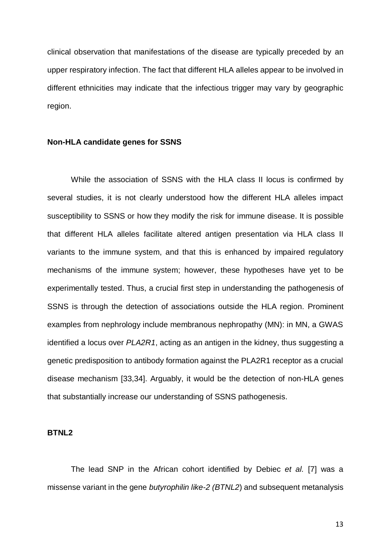clinical observation that manifestations of the disease are typically preceded by an upper respiratory infection. The fact that different HLA alleles appear to be involved in different ethnicities may indicate that the infectious trigger may vary by geographic region.

# **Non-HLA candidate genes for SSNS**

While the association of SSNS with the HLA class II locus is confirmed by several studies, it is not clearly understood how the different HLA alleles impact susceptibility to SSNS or how they modify the risk for immune disease. It is possible that different HLA alleles facilitate altered antigen presentation via HLA class II variants to the immune system, and that this is enhanced by impaired regulatory mechanisms of the immune system; however, these hypotheses have yet to be experimentally tested. Thus, a crucial first step in understanding the pathogenesis of SSNS is through the detection of associations outside the HLA region. Prominent examples from nephrology include membranous nephropathy (MN): in MN, a GWAS identified a locus over *PLA2R1*, acting as an antigen in the kidney, thus suggesting a genetic predisposition to antibody formation against the PLA2R1 receptor as a crucial disease mechanism [33,34]. Arguably, it would be the detection of non-HLA genes that substantially increase our understanding of SSNS pathogenesis.

#### **BTNL2**

The lead SNP in the African cohort identified by Debiec *et al.* [7] was a missense variant in the gene *butyrophilin like-2 (BTNL2*) and subsequent metanalysis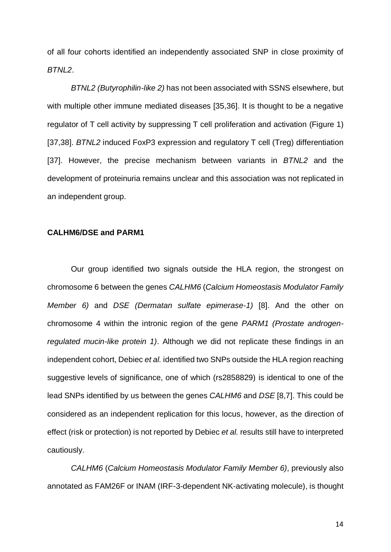of all four cohorts identified an independently associated SNP in close proximity of *BTNL2*.

*BTNL2 (Butyrophilin-like 2)* has not been associated with SSNS elsewhere, but with multiple other immune mediated diseases [35,36]. It is thought to be a negative regulator of T cell activity by suppressing T cell proliferation and activation [\(Figure 1\)](#page-25-0) [37,38]. *BTNL2* induced FoxP3 expression and regulatory T cell (Treg) differentiation [37]. However, the precise mechanism between variants in *BTNL2* and the development of proteinuria remains unclear and this association was not replicated in an independent group.

# **CALHM6/DSE and PARM1**

Our group identified two signals outside the HLA region, the strongest on chromosome 6 between the genes *CALHM6* (*Calcium Homeostasis Modulator Family Member 6)* and *DSE (Dermatan sulfate epimerase-1)* [8]. And the other on chromosome 4 within the intronic region of the gene *PARM1 (Prostate androgenregulated mucin-like protein 1)*. Although we did not replicate these findings in an independent cohort, Debiec *et al.* identified two SNPs outside the HLA region reaching suggestive levels of significance, one of which (rs2858829) is identical to one of the lead SNPs identified by us between the genes *CALHM6* and *DSE* [8,7]. This could be considered as an independent replication for this locus, however, as the direction of effect (risk or protection) is not reported by Debiec *et al.* results still have to interpreted cautiously.

*CALHM6* (*Calcium Homeostasis Modulator Family Member 6)*, previously also annotated as FAM26F or INAM (IRF-3-dependent NK-activating molecule), is thought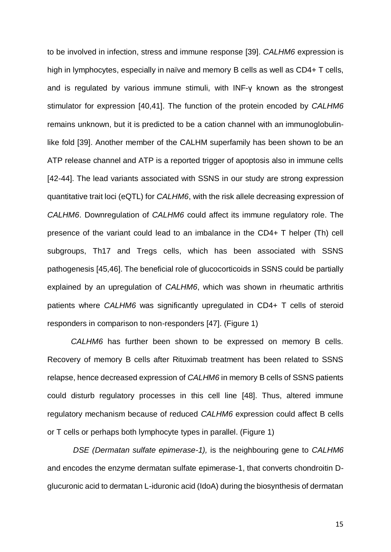to be involved in infection, stress and immune response [39]. *CALHM6* expression is high in lymphocytes, especially in naïve and memory B cells as well as CD4+ T cells, and is regulated by various immune stimuli, with INF-γ known as the strongest stimulator for expression [40,41]. The function of the protein encoded by *CALHM6* remains unknown, but it is predicted to be a cation channel with an immunoglobulinlike fold [39]. Another member of the CALHM superfamily has been shown to be an ATP release channel and ATP is a reported trigger of apoptosis also in immune cells [42-44]. The lead variants associated with SSNS in our study are strong expression quantitative trait loci (eQTL) for *CALHM6*, with the risk allele decreasing expression of *CALHM6*. Downregulation of *CALHM6* could affect its immune regulatory role. The presence of the variant could lead to an imbalance in the CD4+ T helper (Th) cell subgroups, Th17 and Tregs cells, which has been associated with SSNS pathogenesis [45,46]. The beneficial role of glucocorticoids in SSNS could be partially explained by an upregulation of *CALHM6*, which was shown in rheumatic arthritis patients where *CALHM6* was significantly upregulated in CD4+ T cells of steroid responders in comparison to non-responders [47]. [\(Figure 1\)](#page-25-0)

*CALHM6* has further been shown to be expressed on memory B cells. Recovery of memory B cells after Rituximab treatment has been related to SSNS relapse, hence decreased expression of *CALHM6* in memory B cells of SSNS patients could disturb regulatory processes in this cell line [48]. Thus, altered immune regulatory mechanism because of reduced *CALHM6* expression could affect B cells or T cells or perhaps both lymphocyte types in parallel. [\(Figure 1\)](#page-25-0)

*DSE (Dermatan sulfate epimerase-1),* is the neighbouring gene to *CALHM6* and encodes the enzyme dermatan sulfate epimerase-1, that converts chondroitin Dglucuronic acid to dermatan L-iduronic acid (IdoA) during the biosynthesis of dermatan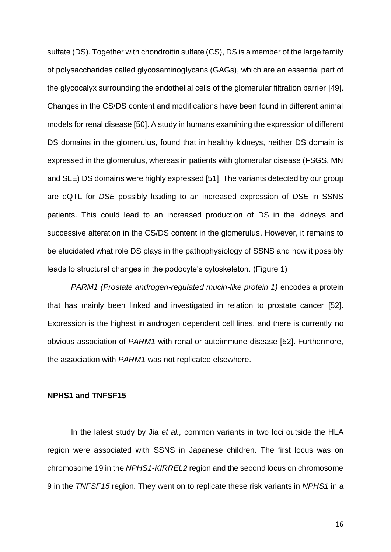sulfate (DS). Together with chondroitin sulfate (CS), DS is a member of the large family of polysaccharides called glycosaminoglycans (GAGs), which are an essential part of the glycocalyx surrounding the endothelial cells of the glomerular filtration barrier [49]. Changes in the CS/DS content and modifications have been found in different animal models for renal disease [50]. A study in humans examining the expression of different DS domains in the glomerulus, found that in healthy kidneys, neither DS domain is expressed in the glomerulus, whereas in patients with glomerular disease (FSGS, MN and SLE) DS domains were highly expressed [51]. The variants detected by our group are eQTL for *DSE* possibly leading to an increased expression of *DSE* in SSNS patients. This could lead to an increased production of DS in the kidneys and successive alteration in the CS/DS content in the glomerulus. However, it remains to be elucidated what role DS plays in the pathophysiology of SSNS and how it possibly leads to structural changes in the podocyte's cytoskeleton. [\(Figure 1\)](#page-25-0)

*PARM1 (Prostate androgen-regulated mucin-like protein 1)* encodes a protein that has mainly been linked and investigated in relation to prostate cancer [52]. Expression is the highest in androgen dependent cell lines, and there is currently no obvious association of *PARM1* with renal or autoimmune disease [52]. Furthermore, the association with *PARM1* was not replicated elsewhere.

# **NPHS1 and TNFSF15**

In the latest study by Jia *et al.,* common variants in two loci outside the HLA region were associated with SSNS in Japanese children. The first locus was on chromosome 19 in the *NPHS1-KIRREL2* region and the second locus on chromosome 9 in the *TNFSF15* region. They went on to replicate these risk variants in *NPHS1* in a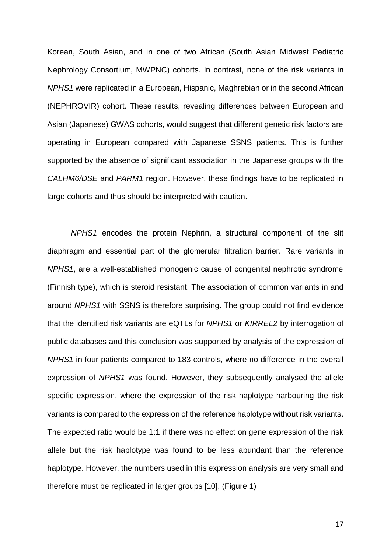Korean, South Asian, and in one of two African (South Asian Midwest Pediatric Nephrology Consortium, MWPNC) cohorts. In contrast, none of the risk variants in *NPHS1* were replicated in a European, Hispanic, Maghrebian or in the second African (NEPHROVIR) cohort. These results, revealing differences between European and Asian (Japanese) GWAS cohorts, would suggest that different genetic risk factors are operating in European compared with Japanese SSNS patients. This is further supported by the absence of significant association in the Japanese groups with the *CALHM6/DSE* and *PARM1* region. However, these findings have to be replicated in large cohorts and thus should be interpreted with caution.

*NPHS1* encodes the protein Nephrin, a structural component of the slit diaphragm and essential part of the glomerular filtration barrier. Rare variants in *NPHS1*, are a well-established monogenic cause of congenital nephrotic syndrome (Finnish type), which is steroid resistant. The association of common variants in and around *NPHS1* with SSNS is therefore surprising. The group could not find evidence that the identified risk variants are eQTLs for *NPHS1* or *KIRREL2* by interrogation of public databases and this conclusion was supported by analysis of the expression of *NPHS1* in four patients compared to 183 controls, where no difference in the overall expression of *NPHS1* was found. However, they subsequently analysed the allele specific expression, where the expression of the risk haplotype harbouring the risk variants is compared to the expression of the reference haplotype without risk variants. The expected ratio would be 1:1 if there was no effect on gene expression of the risk allele but the risk haplotype was found to be less abundant than the reference haplotype. However, the numbers used in this expression analysis are very small and therefore must be replicated in larger groups [10]. [\(Figure 1\)](#page-25-0)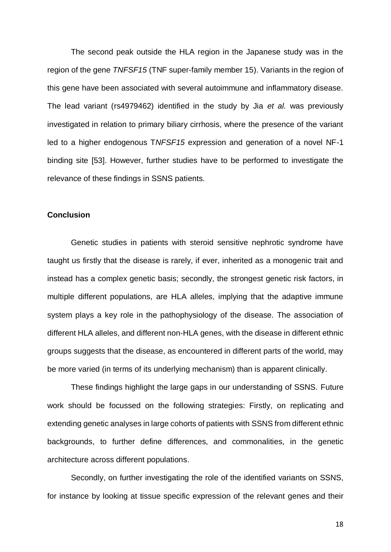The second peak outside the HLA region in the Japanese study was in the region of the gene *TNFSF15* (TNF super-family member 15). Variants in the region of this gene have been associated with several autoimmune and inflammatory disease. The lead variant (rs4979462) identified in the study by Jia *et al.* was previously investigated in relation to primary biliary cirrhosis, where the presence of the variant led to a higher endogenous T*NFSF15* expression and generation of a novel NF-1 binding site [53]. However, further studies have to be performed to investigate the relevance of these findings in SSNS patients.

# **Conclusion**

Genetic studies in patients with steroid sensitive nephrotic syndrome have taught us firstly that the disease is rarely, if ever, inherited as a monogenic trait and instead has a complex genetic basis; secondly, the strongest genetic risk factors, in multiple different populations, are HLA alleles, implying that the adaptive immune system plays a key role in the pathophysiology of the disease. The association of different HLA alleles, and different non-HLA genes, with the disease in different ethnic groups suggests that the disease, as encountered in different parts of the world, may be more varied (in terms of its underlying mechanism) than is apparent clinically.

These findings highlight the large gaps in our understanding of SSNS. Future work should be focussed on the following strategies: Firstly, on replicating and extending genetic analyses in large cohorts of patients with SSNS from different ethnic backgrounds, to further define differences, and commonalities, in the genetic architecture across different populations.

Secondly, on further investigating the role of the identified variants on SSNS, for instance by looking at tissue specific expression of the relevant genes and their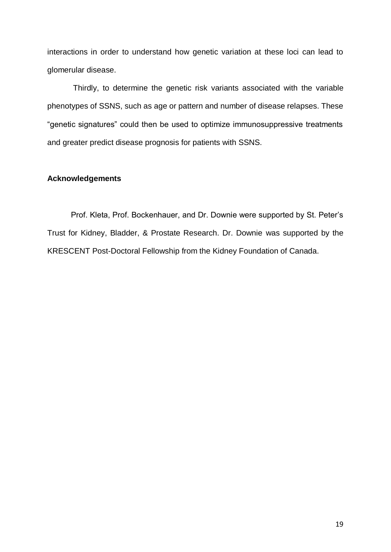interactions in order to understand how genetic variation at these loci can lead to glomerular disease.

Thirdly, to determine the genetic risk variants associated with the variable phenotypes of SSNS, such as age or pattern and number of disease relapses. These "genetic signatures" could then be used to optimize immunosuppressive treatments and greater predict disease prognosis for patients with SSNS.

# **Acknowledgements**

Prof. Kleta, Prof. Bockenhauer, and Dr. Downie were supported by St. Peter's Trust for Kidney, Bladder, & Prostate Research. Dr. Downie was supported by the KRESCENT Post-Doctoral Fellowship from the Kidney Foundation of Canada.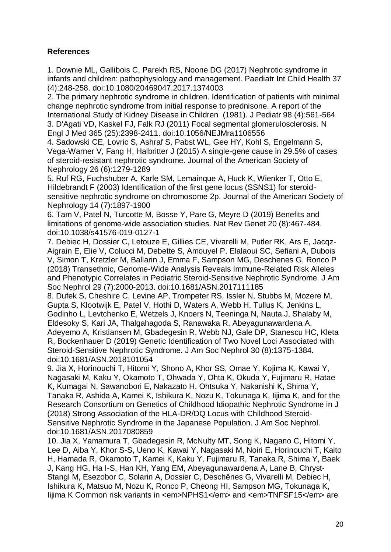# **References**

1. Downie ML, Gallibois C, Parekh RS, Noone DG (2017) Nephrotic syndrome in infants and children: pathophysiology and management. Paediatr Int Child Health 37 (4):248-258. doi:10.1080/20469047.2017.1374003

2. The primary nephrotic syndrome in children. Identification of patients with minimal change nephrotic syndrome from initial response to prednisone. A report of the International Study of Kidney Disease in Children (1981). J Pediatr 98 (4):561-564 3. D'Agati VD, Kaskel FJ, Falk RJ (2011) Focal segmental glomerulosclerosis. N Engl J Med 365 (25):2398-2411. doi:10.1056/NEJMra1106556

4. Sadowski CE, Lovric S, Ashraf S, Pabst WL, Gee HY, Kohl S, Engelmann S, Vega-Warner V, Fang H, Halbritter J (2015) A single-gene cause in 29.5% of cases of steroid-resistant nephrotic syndrome. Journal of the American Society of Nephrology 26 (6):1279-1289

5. Ruf RG, Fuchshuber A, Karle SM, Lemainque A, Huck K, Wienker T, Otto E, Hildebrandt F (2003) Identification of the first gene locus (SSNS1) for steroidsensitive nephrotic syndrome on chromosome 2p. Journal of the American Society of Nephrology 14 (7):1897-1900

6. Tam V, Patel N, Turcotte M, Bosse Y, Pare G, Meyre D (2019) Benefits and limitations of genome-wide association studies. Nat Rev Genet 20 (8):467-484. doi:10.1038/s41576-019-0127-1

7. Debiec H, Dossier C, Letouze E, Gillies CE, Vivarelli M, Putler RK, Ars E, Jacqz-Aigrain E, Elie V, Colucci M, Debette S, Amouyel P, Elalaoui SC, Sefiani A, Dubois V, Simon T, Kretzler M, Ballarin J, Emma F, Sampson MG, Deschenes G, Ronco P (2018) Transethnic, Genome-Wide Analysis Reveals Immune-Related Risk Alleles and Phenotypic Correlates in Pediatric Steroid-Sensitive Nephrotic Syndrome. J Am Soc Nephrol 29 (7):2000-2013. doi:10.1681/ASN.2017111185

8. Dufek S, Cheshire C, Levine AP, Trompeter RS, Issler N, Stubbs M, Mozere M, Gupta S, Klootwijk E, Patel V, Hothi D, Waters A, Webb H, Tullus K, Jenkins L, Godinho L, Levtchenko E, Wetzels J, Knoers N, Teeninga N, Nauta J, Shalaby M, Eldesoky S, Kari JA, Thalgahagoda S, Ranawaka R, Abeyagunawardena A, Adeyemo A, Kristiansen M, Gbadegesin R, Webb NJ, Gale DP, Stanescu HC, Kleta R, Bockenhauer D (2019) Genetic Identification of Two Novel Loci Associated with Steroid-Sensitive Nephrotic Syndrome. J Am Soc Nephrol 30 (8):1375-1384. doi:10.1681/ASN.2018101054

9. Jia X, Horinouchi T, Hitomi Y, Shono A, Khor SS, Omae Y, Kojima K, Kawai Y, Nagasaki M, Kaku Y, Okamoto T, Ohwada Y, Ohta K, Okuda Y, Fujimaru R, Hatae K, Kumagai N, Sawanobori E, Nakazato H, Ohtsuka Y, Nakanishi K, Shima Y, Tanaka R, Ashida A, Kamei K, Ishikura K, Nozu K, Tokunaga K, Iijima K, and for the Research Consortium on Genetics of Childhood Idiopathic Nephrotic Syndrome in J (2018) Strong Association of the HLA-DR/DQ Locus with Childhood Steroid-Sensitive Nephrotic Syndrome in the Japanese Population. J Am Soc Nephrol. doi:10.1681/ASN.2017080859

10. Jia X, Yamamura T, Gbadegesin R, McNulty MT, Song K, Nagano C, Hitomi Y, Lee D, Aiba Y, Khor S-S, Ueno K, Kawai Y, Nagasaki M, Noiri E, Horinouchi T, Kaito H, Hamada R, Okamoto T, Kamei K, Kaku Y, Fujimaru R, Tanaka R, Shima Y, Baek J, Kang HG, Ha I-S, Han KH, Yang EM, Abeyagunawardena A, Lane B, Chryst-Stangl M, Esezobor C, Solarin A, Dossier C, Deschênes G, Vivarelli M, Debiec H, Ishikura K, Matsuo M, Nozu K, Ronco P, Cheong HI, Sampson MG, Tokunaga K, Iijima K Common risk variants in <em>NPHS1</em> and <em>TNFSF15</em> are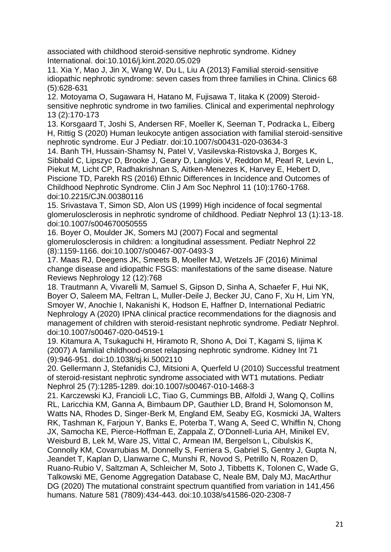associated with childhood steroid-sensitive nephrotic syndrome. Kidney International. doi:10.1016/j.kint.2020.05.029

11. Xia Y, Mao J, Jin X, Wang W, Du L, Liu A (2013) Familial steroid-sensitive idiopathic nephrotic syndrome: seven cases from three families in China. Clinics 68 (5):628-631

12. Motoyama O, Sugawara H, Hatano M, Fujisawa T, Iitaka K (2009) Steroidsensitive nephrotic syndrome in two families. Clinical and experimental nephrology 13 (2):170-173

13. Korsgaard T, Joshi S, Andersen RF, Moeller K, Seeman T, Podracka L, Eiberg H, Rittig S (2020) Human leukocyte antigen association with familial steroid-sensitive nephrotic syndrome. Eur J Pediatr. doi:10.1007/s00431-020-03634-3

14. Banh TH, Hussain-Shamsy N, Patel V, Vasilevska-Ristovska J, Borges K, Sibbald C, Lipszyc D, Brooke J, Geary D, Langlois V, Reddon M, Pearl R, Levin L, Piekut M, Licht CP, Radhakrishnan S, Aitken-Menezes K, Harvey E, Hebert D, Piscione TD, Parekh RS (2016) Ethnic Differences in Incidence and Outcomes of Childhood Nephrotic Syndrome. Clin J Am Soc Nephrol 11 (10):1760-1768. doi:10.2215/CJN.00380116

15. Srivastava T, Simon SD, Alon US (1999) High incidence of focal segmental glomerulosclerosis in nephrotic syndrome of childhood. Pediatr Nephrol 13 (1):13-18. doi:10.1007/s004670050555

16. Boyer O, Moulder JK, Somers MJ (2007) Focal and segmental glomerulosclerosis in children: a longitudinal assessment. Pediatr Nephrol 22 (8):1159-1166. doi:10.1007/s00467-007-0493-3

17. Maas RJ, Deegens JK, Smeets B, Moeller MJ, Wetzels JF (2016) Minimal change disease and idiopathic FSGS: manifestations of the same disease. Nature Reviews Nephrology 12 (12):768

18. Trautmann A, Vivarelli M, Samuel S, Gipson D, Sinha A, Schaefer F, Hui NK, Boyer O, Saleem MA, Feltran L, Muller-Deile J, Becker JU, Cano F, Xu H, Lim YN, Smoyer W, Anochie I, Nakanishi K, Hodson E, Haffner D, International Pediatric Nephrology A (2020) IPNA clinical practice recommendations for the diagnosis and management of children with steroid-resistant nephrotic syndrome. Pediatr Nephrol. doi:10.1007/s00467-020-04519-1

19. Kitamura A, Tsukaguchi H, Hiramoto R, Shono A, Doi T, Kagami S, Iijima K (2007) A familial childhood-onset relapsing nephrotic syndrome. Kidney Int 71 (9):946-951. doi:10.1038/sj.ki.5002110

20. Gellermann J, Stefanidis CJ, Mitsioni A, Querfeld U (2010) Successful treatment of steroid-resistant nephrotic syndrome associated with WT1 mutations. Pediatr Nephrol 25 (7):1285-1289. doi:10.1007/s00467-010-1468-3

21. Karczewski KJ, Francioli LC, Tiao G, Cummings BB, Alfoldi J, Wang Q, Collins RL, Laricchia KM, Ganna A, Birnbaum DP, Gauthier LD, Brand H, Solomonson M, Watts NA, Rhodes D, Singer-Berk M, England EM, Seaby EG, Kosmicki JA, Walters RK, Tashman K, Farjoun Y, Banks E, Poterba T, Wang A, Seed C, Whiffin N, Chong JX, Samocha KE, Pierce-Hoffman E, Zappala Z, O'Donnell-Luria AH, Minikel EV, Weisburd B, Lek M, Ware JS, Vittal C, Armean IM, Bergelson L, Cibulskis K, Connolly KM, Covarrubias M, Donnelly S, Ferriera S, Gabriel S, Gentry J, Gupta N, Jeandet T, Kaplan D, Llanwarne C, Munshi R, Novod S, Petrillo N, Roazen D, Ruano-Rubio V, Saltzman A, Schleicher M, Soto J, Tibbetts K, Tolonen C, Wade G, Talkowski ME, Genome Aggregation Database C, Neale BM, Daly MJ, MacArthur DG (2020) The mutational constraint spectrum quantified from variation in 141,456 humans. Nature 581 (7809):434-443. doi:10.1038/s41586-020-2308-7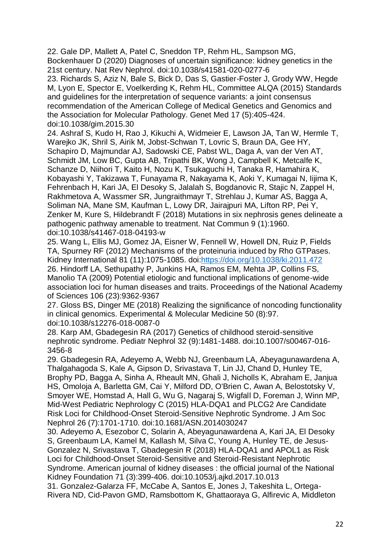22. Gale DP, Mallett A, Patel C, Sneddon TP, Rehm HL, Sampson MG, Bockenhauer D (2020) Diagnoses of uncertain significance: kidney genetics in the 21st century. Nat Rev Nephrol. doi:10.1038/s41581-020-0277-6

23. Richards S, Aziz N, Bale S, Bick D, Das S, Gastier-Foster J, Grody WW, Hegde M, Lyon E, Spector E, Voelkerding K, Rehm HL, Committee ALQA (2015) Standards and guidelines for the interpretation of sequence variants: a joint consensus recommendation of the American College of Medical Genetics and Genomics and the Association for Molecular Pathology. Genet Med 17 (5):405-424. doi:10.1038/gim.2015.30

24. Ashraf S, Kudo H, Rao J, Kikuchi A, Widmeier E, Lawson JA, Tan W, Hermle T, Warejko JK, Shril S, Airik M, Jobst-Schwan T, Lovric S, Braun DA, Gee HY, Schapiro D, Majmundar AJ, Sadowski CE, Pabst WL, Daga A, van der Ven AT, Schmidt JM, Low BC, Gupta AB, Tripathi BK, Wong J, Campbell K, Metcalfe K, Schanze D, Niihori T, Kaito H, Nozu K, Tsukaguchi H, Tanaka R, Hamahira K, Kobayashi Y, Takizawa T, Funayama R, Nakayama K, Aoki Y, Kumagai N, Iijima K, Fehrenbach H, Kari JA, El Desoky S, Jalalah S, Bogdanovic R, Stajic N, Zappel H, Rakhmetova A, Wassmer SR, Jungraithmayr T, Strehlau J, Kumar AS, Bagga A, Soliman NA, Mane SM, Kaufman L, Lowy DR, Jairajpuri MA, Lifton RP, Pei Y, Zenker M, Kure S, Hildebrandt F (2018) Mutations in six nephrosis genes delineate a pathogenic pathway amenable to treatment. Nat Commun 9 (1):1960. doi:10.1038/s41467-018-04193-w

25. Wang L, Ellis MJ, Gomez JA, Eisner W, Fennell W, Howell DN, Ruiz P, Fields TA, Spurney RF (2012) Mechanisms of the proteinuria induced by Rho GTPases. Kidney International 81 (11):1075-1085. doi[:https://doi.org/10.1038/ki.2011.472](https://doi.org/10.1038/ki.2011.472) 26. Hindorff LA, Sethupathy P, Junkins HA, Ramos EM, Mehta JP, Collins FS, Manolio TA (2009) Potential etiologic and functional implications of genome-wide association loci for human diseases and traits. Proceedings of the National Academy of Sciences 106 (23):9362-9367

27. Gloss BS, Dinger ME (2018) Realizing the significance of noncoding functionality in clinical genomics. Experimental & Molecular Medicine 50 (8):97. doi:10.1038/s12276-018-0087-0

28. Karp AM, Gbadegesin RA (2017) Genetics of childhood steroid-sensitive nephrotic syndrome. Pediatr Nephrol 32 (9):1481-1488. doi:10.1007/s00467-016- 3456-8

29. Gbadegesin RA, Adeyemo A, Webb NJ, Greenbaum LA, Abeyagunawardena A, Thalgahagoda S, Kale A, Gipson D, Srivastava T, Lin JJ, Chand D, Hunley TE, Brophy PD, Bagga A, Sinha A, Rheault MN, Ghali J, Nicholls K, Abraham E, Janjua HS, Omoloja A, Barletta GM, Cai Y, Milford DD, O'Brien C, Awan A, Belostotsky V, Smoyer WE, Homstad A, Hall G, Wu G, Nagaraj S, Wigfall D, Foreman J, Winn MP, Mid-West Pediatric Nephrology C (2015) HLA-DQA1 and PLCG2 Are Candidate Risk Loci for Childhood-Onset Steroid-Sensitive Nephrotic Syndrome. J Am Soc Nephrol 26 (7):1701-1710. doi:10.1681/ASN.2014030247

30. Adeyemo A, Esezobor C, Solarin A, Abeyagunawardena A, Kari JA, El Desoky S, Greenbaum LA, Kamel M, Kallash M, Silva C, Young A, Hunley TE, de Jesus-Gonzalez N, Srivastava T, Gbadegesin R (2018) HLA-DQA1 and APOL1 as Risk Loci for Childhood-Onset Steroid-Sensitive and Steroid-Resistant Nephrotic Syndrome. American journal of kidney diseases : the official journal of the National Kidney Foundation 71 (3):399-406. doi:10.1053/j.ajkd.2017.10.013

31. Gonzalez-Galarza FF, McCabe A, Santos E, Jones J, Takeshita L, Ortega-Rivera ND, Cid-Pavon GMD, Ramsbottom K, Ghattaoraya G, Alfirevic A, Middleton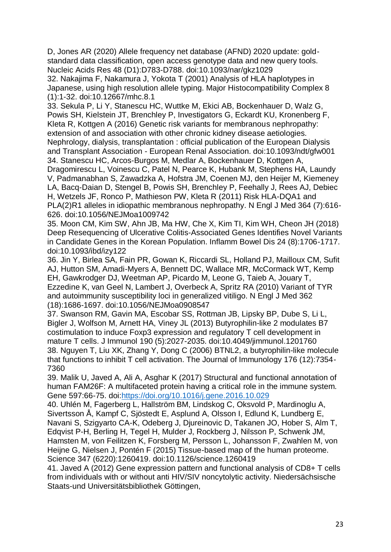D, Jones AR (2020) Allele frequency net database (AFND) 2020 update: goldstandard data classification, open access genotype data and new query tools. Nucleic Acids Res 48 (D1):D783-D788. doi:10.1093/nar/gkz1029

32. Nakajima F, Nakamura J, Yokota T (2001) Analysis of HLA haplotypes in Japanese, using high resolution allele typing. Major Histocompatibility Complex 8 (1):1-32. doi:10.12667/mhc.8.1

33. Sekula P, Li Y, Stanescu HC, Wuttke M, Ekici AB, Bockenhauer D, Walz G, Powis SH, Kielstein JT, Brenchley P, Investigators G, Eckardt KU, Kronenberg F, Kleta R, Kottgen A (2016) Genetic risk variants for membranous nephropathy: extension of and association with other chronic kidney disease aetiologies. Nephrology, dialysis, transplantation : official publication of the European Dialysis and Transplant Association - European Renal Association. doi:10.1093/ndt/gfw001 34. Stanescu HC, Arcos-Burgos M, Medlar A, Bockenhauer D, Kottgen A,

Dragomirescu L, Voinescu C, Patel N, Pearce K, Hubank M, Stephens HA, Laundy V, Padmanabhan S, Zawadzka A, Hofstra JM, Coenen MJ, den Heijer M, Kiemeney LA, Bacq-Daian D, Stengel B, Powis SH, Brenchley P, Feehally J, Rees AJ, Debiec H, Wetzels JF, Ronco P, Mathieson PW, Kleta R (2011) Risk HLA-DQA1 and PLA(2)R1 alleles in idiopathic membranous nephropathy. N Engl J Med 364 (7):616- 626. doi:10.1056/NEJMoa1009742

35. Moon CM, Kim SW, Ahn JB, Ma HW, Che X, Kim TI, Kim WH, Cheon JH (2018) Deep Resequencing of Ulcerative Colitis-Associated Genes Identifies Novel Variants in Candidate Genes in the Korean Population. Inflamm Bowel Dis 24 (8):1706-1717. doi:10.1093/ibd/izy122

36. Jin Y, Birlea SA, Fain PR, Gowan K, Riccardi SL, Holland PJ, Mailloux CM, Sufit AJ, Hutton SM, Amadi-Myers A, Bennett DC, Wallace MR, McCormack WT, Kemp EH, Gawkrodger DJ, Weetman AP, Picardo M, Leone G, Taieb A, Jouary T, Ezzedine K, van Geel N, Lambert J, Overbeck A, Spritz RA (2010) Variant of TYR and autoimmunity susceptibility loci in generalized vitiligo. N Engl J Med 362 (18):1686-1697. doi:10.1056/NEJMoa0908547

37. Swanson RM, Gavin MA, Escobar SS, Rottman JB, Lipsky BP, Dube S, Li L, Bigler J, Wolfson M, Arnett HA, Viney JL (2013) Butyrophilin-like 2 modulates B7 costimulation to induce Foxp3 expression and regulatory T cell development in mature T cells. J Immunol 190 (5):2027-2035. doi:10.4049/jimmunol.1201760 38. Nguyen T, Liu XK, Zhang Y, Dong C (2006) BTNL2, a butyrophilin-like molecule that functions to inhibit T cell activation. The Journal of Immunology 176 (12):7354- 7360

39. Malik U, Javed A, Ali A, Asghar K (2017) Structural and functional annotation of human FAM26F: A multifaceted protein having a critical role in the immune system. Gene 597:66-75. doi[:https://doi.org/10.1016/j.gene.2016.10.029](https://doi.org/10.1016/j.gene.2016.10.029)

40. Uhlén M, Fagerberg L, Hallström BM, Lindskog C, Oksvold P, Mardinoglu A, Sivertsson Å, Kampf C, Sjöstedt E, Asplund A, Olsson I, Edlund K, Lundberg E, Navani S, Szigyarto CA-K, Odeberg J, Djureinovic D, Takanen JO, Hober S, Alm T, Edqvist P-H, Berling H, Tegel H, Mulder J, Rockberg J, Nilsson P, Schwenk JM, Hamsten M, von Feilitzen K, Forsberg M, Persson L, Johansson F, Zwahlen M, von Heijne G, Nielsen J, Pontén F (2015) Tissue-based map of the human proteome. Science 347 (6220):1260419. doi:10.1126/science.1260419

41. Javed A (2012) Gene expression pattern and functional analysis of CD8+ T cells from individuals with or without anti HIV/SIV noncytolytic activity. Niedersächsische Staats-und Universitätsbibliothek Göttingen,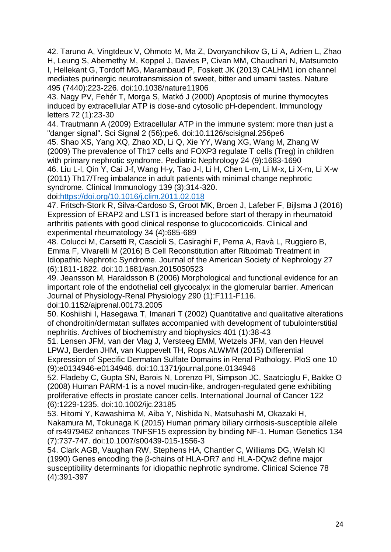42. Taruno A, Vingtdeux V, Ohmoto M, Ma Z, Dvoryanchikov G, Li A, Adrien L, Zhao H, Leung S, Abernethy M, Koppel J, Davies P, Civan MM, Chaudhari N, Matsumoto I, Hellekant G, Tordoff MG, Marambaud P, Foskett JK (2013) CALHM1 ion channel mediates purinergic neurotransmission of sweet, bitter and umami tastes. Nature 495 (7440):223-226. doi:10.1038/nature11906

43. Nagy PV, Fehér T, Morga S, Matkó J (2000) Apoptosis of murine thymocytes induced by extracellular ATP is dose-and cytosolic pH-dependent. Immunology letters 72 (1):23-30

44. Trautmann A (2009) Extracellular ATP in the immune system: more than just a "danger signal". Sci Signal 2 (56):pe6. doi:10.1126/scisignal.256pe6

45. Shao XS, Yang XQ, Zhao XD, Li Q, Xie YY, Wang XG, Wang M, Zhang W (2009) The prevalence of Th17 cells and FOXP3 regulate T cells (Treg) in children with primary nephrotic syndrome. Pediatric Nephrology 24 (9):1683-1690

46. Liu L-l, Qin Y, Cai J-f, Wang H-y, Tao J-l, Li H, Chen L-m, Li M-x, Li X-m, Li X-w (2011) Th17/Treg imbalance in adult patients with minimal change nephrotic syndrome. Clinical Immunology 139 (3):314-320.

doi[:https://doi.org/10.1016/j.clim.2011.02.018](https://doi.org/10.1016/j.clim.2011.02.018)

47. Fritsch-Stork R, Silva-Cardoso S, Groot MK, Broen J, Lafeber F, Bijlsma J (2016) Expression of ERAP2 and LST1 is increased before start of therapy in rheumatoid arthritis patients with good clinical response to glucocorticoids. Clinical and experimental rheumatology 34 (4):685-689

48. Colucci M, Carsetti R, Cascioli S, Casiraghi F, Perna A, Ravà L, Ruggiero B, Emma F, Vivarelli M (2016) B Cell Reconstitution after Rituximab Treatment in Idiopathic Nephrotic Syndrome. Journal of the American Society of Nephrology 27 (6):1811-1822. doi:10.1681/asn.2015050523

49. Jeansson M, Haraldsson B (2006) Morphological and functional evidence for an important role of the endothelial cell glycocalyx in the glomerular barrier. American Journal of Physiology-Renal Physiology 290 (1):F111-F116.

doi:10.1152/ajprenal.00173.2005

50. Koshiishi I, Hasegawa T, Imanari T (2002) Quantitative and qualitative alterations of chondroitin/dermatan sulfates accompanied with development of tubulointerstitial nephritis. Archives of biochemistry and biophysics 401 (1):38-43

51. Lensen JFM, van der Vlag J, Versteeg EMM, Wetzels JFM, van den Heuvel LPWJ, Berden JHM, van Kuppevelt TH, Rops ALWMM (2015) Differential Expression of Specific Dermatan Sulfate Domains in Renal Pathology. PloS one 10

(9):e0134946-e0134946. doi:10.1371/journal.pone.0134946 52. Fladeby C, Gupta SN, Barois N, Lorenzo PI, Simpson JC, Saatcioglu F, Bakke O

(2008) Human PARM-1 is a novel mucin-like, androgen-regulated gene exhibiting proliferative effects in prostate cancer cells. International Journal of Cancer 122 (6):1229-1235. doi:10.1002/ijc.23185

53. Hitomi Y, Kawashima M, Aiba Y, Nishida N, Matsuhashi M, Okazaki H, Nakamura M, Tokunaga K (2015) Human primary biliary cirrhosis-susceptible allele of rs4979462 enhances TNFSF15 expression by binding NF-1. Human Genetics 134 (7):737-747. doi:10.1007/s00439-015-1556-3

54. Clark AGB, Vaughan RW, Stephens HA, Chantler C, Williams DG, Welsh KI (1990) Genes encoding the β-chains of HLA-DR7 and HLA-DQw2 define major susceptibility determinants for idiopathic nephrotic syndrome. Clinical Science 78 (4):391-397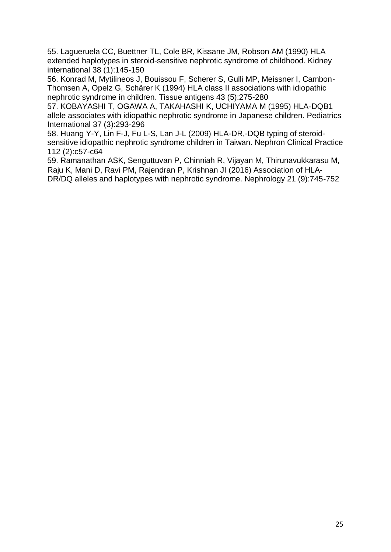55. Lagueruela CC, Buettner TL, Cole BR, Kissane JM, Robson AM (1990) HLA extended haplotypes in steroid-sensitive nephrotic syndrome of childhood. Kidney international 38 (1):145-150

56. Konrad M, Mytilineos J, Bouissou F, Scherer S, Gulli MP, Meissner I, Cambon‐ Thomsen A, Opelz G, Schärer K (1994) HLA class II associations with idiopathic nephrotic syndrome in children. Tissue antigens 43 (5):275-280

57. KOBAYASHI T, OGAWA A, TAKAHASHI K, UCHIYAMA M (1995) HLA‐DQB1 allele associates with idiopathic nephrotic syndrome in Japanese children. Pediatrics International 37 (3):293-296

58. Huang Y-Y, Lin F-J, Fu L-S, Lan J-L (2009) HLA-DR,-DQB typing of steroidsensitive idiopathic nephrotic syndrome children in Taiwan. Nephron Clinical Practice 112 (2):c57-c64

59. Ramanathan ASK, Senguttuvan P, Chinniah R, Vijayan M, Thirunavukkarasu M, Raju K, Mani D, Ravi PM, Rajendran P, Krishnan JI (2016) Association of HLA‐ DR/DQ alleles and haplotypes with nephrotic syndrome. Nephrology 21 (9):745-752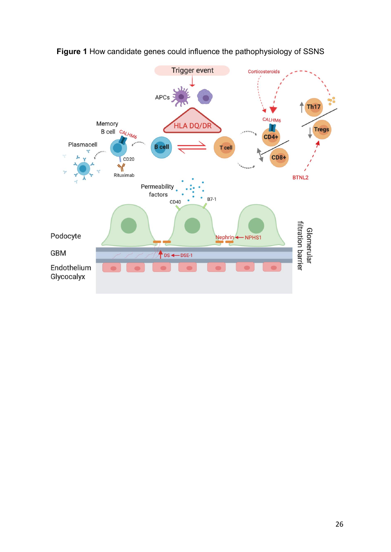<span id="page-25-0"></span>

**Figure 1** How candidate genes could influence the pathophysiology of SSNS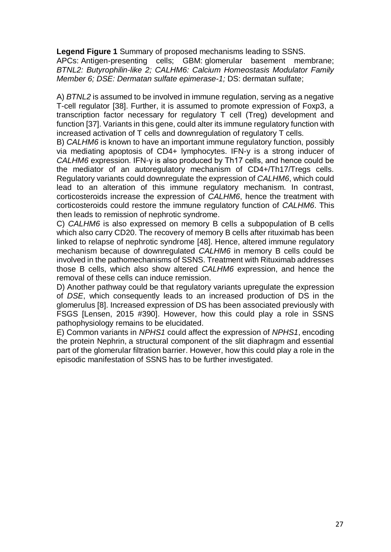**Legend Figure 1** Summary of proposed mechanisms leading to SSNS.

APCs: Antigen-presenting cells; GBM: glomerular basement membrane; *BTNL2: Butyrophilin-like 2; CALHM6: Calcium Homeostasis Modulator Family Member 6; DSE: Dermatan sulfate epimerase-1;* DS: dermatan sulfate;

A) *BTNL2* is assumed to be involved in immune regulation, serving as a negative T-cell regulator [38]. Further, it is assumed to promote expression of Foxp3, a transcription factor necessary for regulatory T cell (Treg) development and function [37]. Variants in this gene, could alter its immune regulatory function with increased activation of T cells and downregulation of regulatory T cells.

B) *CALHM6* is known to have an important immune regulatory function, possibly via mediating apoptosis of CD4+ lymphocytes. IFN-y is a strong inducer of *CALHM6* expression. IFN-γ is also produced by Th17 cells, and hence could be the mediator of an autoregulatory mechanism of CD4+/Th17/Tregs cells. Regulatory variants could downregulate the expression of *CALHM6*, which could lead to an alteration of this immune regulatory mechanism. In contrast, corticosteroids increase the expression of *CALHM6*, hence the treatment with corticosteroids could restore the immune regulatory function of *CALHM6*. This then leads to remission of nephrotic syndrome.

C) *CALHM6* is also expressed on memory B cells a subpopulation of B cells which also carry CD20. The recovery of memory B cells after rituximab has been linked to relapse of nephrotic syndrome [48]. Hence, altered immune regulatory mechanism because of downregulated *CALHM6* in memory B cells could be involved in the pathomechanisms of SSNS. Treatment with Rituximab addresses those B cells, which also show altered *CALHM6* expression, and hence the removal of these cells can induce remission.

D) Another pathway could be that regulatory variants upregulate the expression of *DSE*, which consequently leads to an increased production of DS in the glomerulus [8]. Increased expression of DS has been associated previously with FSGS [Lensen, 2015 #390]. However, how this could play a role in SSNS pathophysiology remains to be elucidated.

E) Common variants in *NPHS1* could affect the expression of *NPHS1*, encoding the protein Nephrin, a structural component of the slit diaphragm and essential part of the glomerular filtration barrier. However, how this could play a role in the episodic manifestation of SSNS has to be further investigated.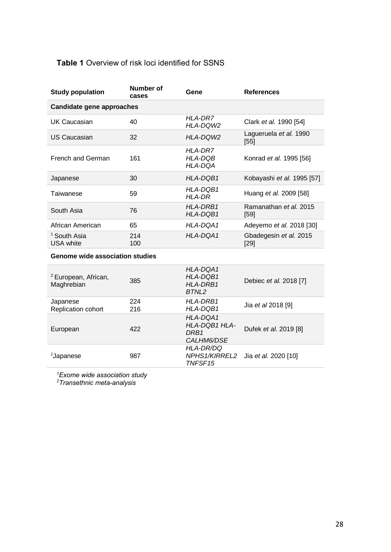# <span id="page-27-0"></span>**Table 1** Overview of risk loci identified for SSNS

| <b>Study population</b>              | Number of<br>cases | Gene                                 | <b>References</b>              |  |  |  |  |  |
|--------------------------------------|--------------------|--------------------------------------|--------------------------------|--|--|--|--|--|
| Candidate gene approaches            |                    |                                      |                                |  |  |  |  |  |
| UK Caucasian                         | 40                 | HLA-DR7<br><b>HLA-DOW2</b>           | Clark et al. 1990 [54]         |  |  |  |  |  |
| US Caucasian                         | 32                 | HLA-DQW2                             | Lagueruela et al. 1990<br>[55] |  |  |  |  |  |
| French and German                    | 161                | <b>HLA-DR7</b><br>HLA-DQB<br>HLA-DOA | Konrad et al. 1995 [56]        |  |  |  |  |  |
| Japanese                             | 30                 | HLA-DQB1                             | Kobayashi et al. 1995 [57]     |  |  |  |  |  |
| Taiwanese                            | 59                 | HLA-DOB1<br>HLA-DR                   | Huang et al. 2009 [58]         |  |  |  |  |  |
| South Asia                           | 76                 | HLA-DRB1<br>HLA-DQB1                 | Ramanathan et al. 2015<br>[59] |  |  |  |  |  |
| African American                     | 65                 | HLA-DOA1                             | Adeyemo et al. 2018 [30]       |  |  |  |  |  |
| <sup>1</sup> South Asia<br>USA white | 214<br>100         | HLA-DQA1                             | Gbadegesin et al. 2015<br>[29] |  |  |  |  |  |

# **Genome wide association studies**

| <sup>2</sup> European, African,<br>Maghrebian | 385        | HLA-DQA1<br>HLA-DQB1<br>HLA-DRB1<br>BTNI <sub>2</sub> | Debiec et al. 2018 [7] |
|-----------------------------------------------|------------|-------------------------------------------------------|------------------------|
| Japanese<br>Replication cohort                | 224<br>216 | HLA-DRB1<br>HLA-DQB1                                  | Jia et al 2018 [9]     |
| European                                      | 422        | HLA-DQA1<br>HLA-DQB1 HLA-<br>DRB1<br>CALHM6/DSE       | Dufek et al. 2019 [8]  |
| <sup>2</sup> Japanese                         | 987        | HLA-DR/DQ<br><b>NPHS1/KIRREL2</b><br>TNFSF15          | Jia et al. 2020 [10]   |

*<sup>1</sup>Exome wide association study*

*2Transethnic meta-analysis*